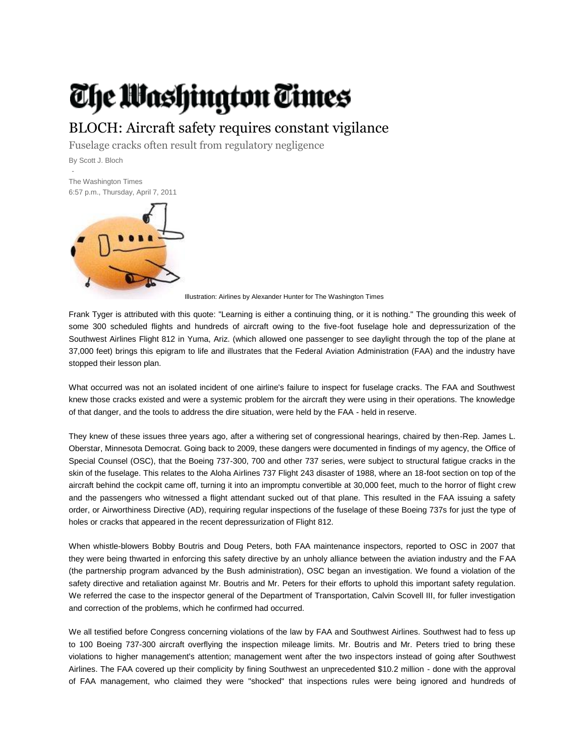## The Washington Times

## BLOCH: Aircraft safety requires constant vigilance

Fuselage cracks often result from regulatory negligence

By Scott J. Bloch

- The Washington Times 6:57 p.m., Thursday, April 7, 2011



Illustration: Airlines by Alexander Hunter for The Washington Times

Frank Tyger is attributed with this quote: "Learning is either a continuing thing, or it is nothing." The grounding this week of some 300 scheduled flights and hundreds of aircraft owing to the five-foot fuselage hole and depressurization of the Southwest Airlines Flight 812 in Yuma, Ariz. (which allowed one passenger to see daylight through the top of the plane at 37,000 feet) brings this epigram to life and illustrates that the Federal Aviation Administration (FAA) and the industry have stopped their lesson plan.

What occurred was not an isolated incident of one airline's failure to inspect for fuselage cracks. The FAA and Southwest knew those cracks existed and were a systemic problem for the aircraft they were using in their operations. The knowledge of that danger, and the tools to address the dire situation, were held by the FAA - held in reserve.

They knew of these issues three years ago, after a withering set of congressional hearings, chaired by then-Rep. James L. Oberstar, Minnesota Democrat. Going back to 2009, these dangers were documented in findings of my agency, the Office of Special Counsel (OSC), that the Boeing 737-300, 700 and other 737 series, were subject to structural fatigue cracks in the skin of the fuselage. This relates to the Aloha Airlines 737 Flight 243 disaster of 1988, where an 18-foot section on top of the aircraft behind the cockpit came off, turning it into an impromptu convertible at 30,000 feet, much to the horror of flight crew and the passengers who witnessed a flight attendant sucked out of that plane. This resulted in the FAA issuing a safety order, or Airworthiness Directive (AD), requiring regular inspections of the fuselage of these Boeing 737s for just the type of holes or cracks that appeared in the recent depressurization of Flight 812.

When whistle-blowers Bobby Boutris and Doug Peters, both FAA maintenance inspectors, reported to OSC in 2007 that they were being thwarted in enforcing this safety directive by an unholy alliance between the aviation industry and the FAA (the partnership program advanced by the Bush administration), OSC began an investigation. We found a violation of the safety directive and retaliation against Mr. Boutris and Mr. Peters for their efforts to uphold this important safety regulation. We referred the case to the inspector general of the Department of Transportation, Calvin Scovell III, for fuller investigation and correction of the problems, which he confirmed had occurred.

We all testified before Congress concerning violations of the law by FAA and Southwest Airlines. Southwest had to fess up to 100 Boeing 737-300 aircraft overflying the inspection mileage limits. Mr. Boutris and Mr. Peters tried to bring these violations to higher management's attention; management went after the two inspectors instead of going after Southwest Airlines. The FAA covered up their complicity by fining Southwest an unprecedented \$10.2 million - done with the approval of FAA management, who claimed they were "shocked" that inspections rules were being ignored and hundreds of